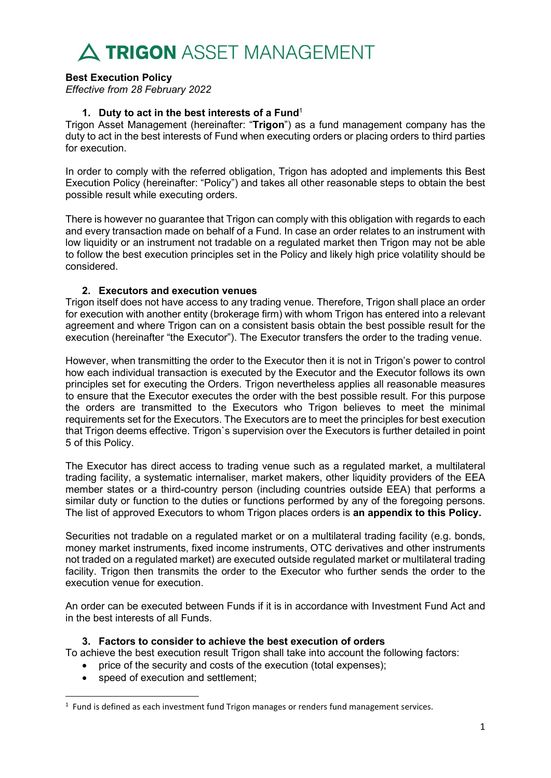### Best Execution Policy

Effective from 28 February 2022

### 1. Duty to act in the best interests of a Fund<sup>1</sup>

Trigon Asset Management (hereinafter: "Trigon") as a fund management company has the duty to act in the best interests of Fund when executing orders or placing orders to third parties for execution.

In order to comply with the referred obligation, Trigon has adopted and implements this Best Execution Policy (hereinafter: "Policy") and takes all other reasonable steps to obtain the best possible result while executing orders.

There is however no guarantee that Trigon can comply with this obligation with regards to each and every transaction made on behalf of a Fund. In case an order relates to an instrument with low liquidity or an instrument not tradable on a regulated market then Trigon may not be able to follow the best execution principles set in the Policy and likely high price volatility should be considered.

### 2. Executors and execution venues

Trigon itself does not have access to any trading venue. Therefore, Trigon shall place an order for execution with another entity (brokerage firm) with whom Trigon has entered into a relevant agreement and where Trigon can on a consistent basis obtain the best possible result for the execution (hereinafter "the Executor"). The Executor transfers the order to the trading venue.

However, when transmitting the order to the Executor then it is not in Trigon's power to control how each individual transaction is executed by the Executor and the Executor follows its own principles set for executing the Orders. Trigon nevertheless applies all reasonable measures to ensure that the Executor executes the order with the best possible result. For this purpose the orders are transmitted to the Executors who Trigon believes to meet the minimal requirements set for the Executors. The Executors are to meet the principles for best execution that Trigon deems effective. Trigon`s supervision over the Executors is further detailed in point 5 of this Policy.

The Executor has direct access to trading venue such as a regulated market, a multilateral trading facility, a systematic internaliser, market makers, other liquidity providers of the EEA member states or a third-country person (including countries outside EEA) that performs a similar duty or function to the duties or functions performed by any of the foregoing persons. The list of approved Executors to whom Trigon places orders is an appendix to this Policy.

Securities not tradable on a regulated market or on a multilateral trading facility (e.g. bonds, money market instruments, fixed income instruments, OTC derivatives and other instruments not traded on a regulated market) are executed outside regulated market or multilateral trading facility. Trigon then transmits the order to the Executor who further sends the order to the execution venue for execution.

An order can be executed between Funds if it is in accordance with Investment Fund Act and in the best interests of all Funds.

### 3. Factors to consider to achieve the best execution of orders

To achieve the best execution result Trigon shall take into account the following factors:

- price of the security and costs of the execution (total expenses);
- speed of execution and settlement;

<sup>&</sup>lt;sup>1</sup> Fund is defined as each investment fund Trigon manages or renders fund management services.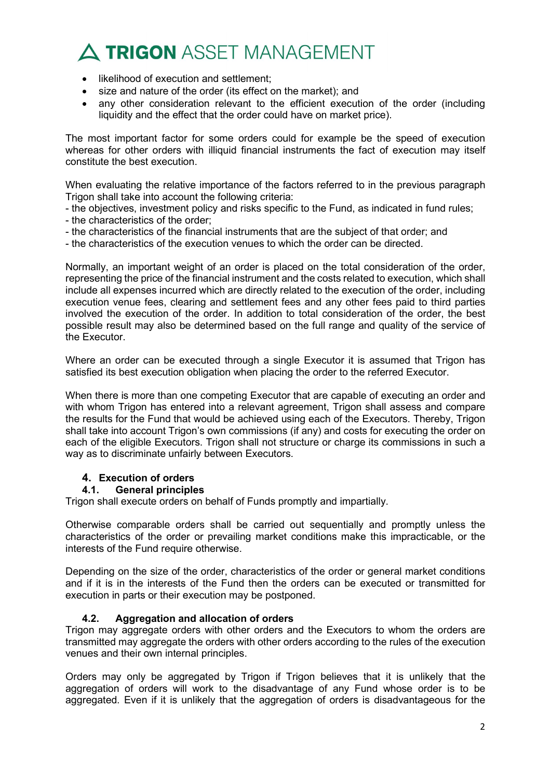- likelihood of execution and settlement;
- size and nature of the order (its effect on the market); and
- any other consideration relevant to the efficient execution of the order (including liquidity and the effect that the order could have on market price).

The most important factor for some orders could for example be the speed of execution whereas for other orders with illiquid financial instruments the fact of execution may itself constitute the best execution.

When evaluating the relative importance of the factors referred to in the previous paragraph Trigon shall take into account the following criteria:

- the objectives, investment policy and risks specific to the Fund, as indicated in fund rules;
- the characteristics of the order;
- the characteristics of the financial instruments that are the subject of that order; and
- the characteristics of the execution venues to which the order can be directed.

Normally, an important weight of an order is placed on the total consideration of the order, representing the price of the financial instrument and the costs related to execution, which shall include all expenses incurred which are directly related to the execution of the order, including execution venue fees, clearing and settlement fees and any other fees paid to third parties involved the execution of the order. In addition to total consideration of the order, the best possible result may also be determined based on the full range and quality of the service of the Executor.

Where an order can be executed through a single Executor it is assumed that Trigon has satisfied its best execution obligation when placing the order to the referred Executor.

When there is more than one competing Executor that are capable of executing an order and with whom Trigon has entered into a relevant agreement, Trigon shall assess and compare the results for the Fund that would be achieved using each of the Executors. Thereby, Trigon shall take into account Trigon's own commissions (if any) and costs for executing the order on each of the eligible Executors. Trigon shall not structure or charge its commissions in such a way as to discriminate unfairly between Executors.

### 4. Execution of orders

### 4.1. General principles

Trigon shall execute orders on behalf of Funds promptly and impartially.

Otherwise comparable orders shall be carried out sequentially and promptly unless the characteristics of the order or prevailing market conditions make this impracticable, or the interests of the Fund require otherwise.

Depending on the size of the order, characteristics of the order or general market conditions and if it is in the interests of the Fund then the orders can be executed or transmitted for execution in parts or their execution may be postponed.

### 4.2. Aggregation and allocation of orders

Trigon may aggregate orders with other orders and the Executors to whom the orders are transmitted may aggregate the orders with other orders according to the rules of the execution venues and their own internal principles.

Orders may only be aggregated by Trigon if Trigon believes that it is unlikely that the aggregation of orders will work to the disadvantage of any Fund whose order is to be aggregated. Even if it is unlikely that the aggregation of orders is disadvantageous for the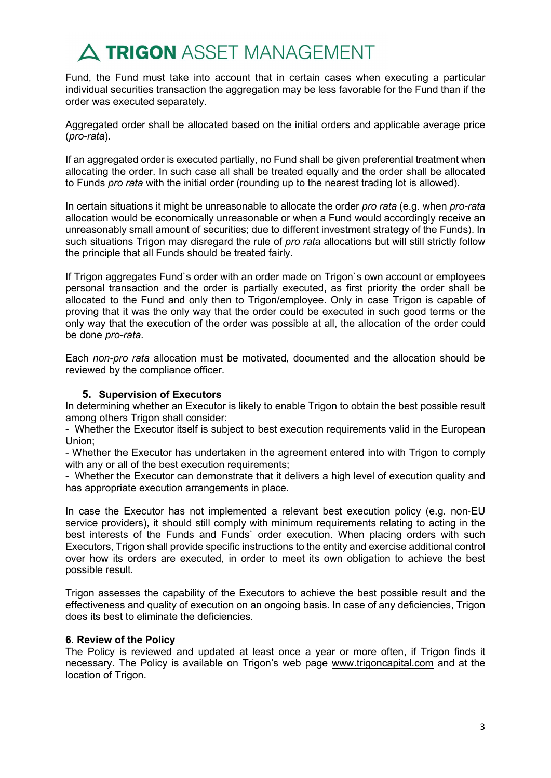Fund, the Fund must take into account that in certain cases when executing a particular individual securities transaction the aggregation may be less favorable for the Fund than if the order was executed separately.

Aggregated order shall be allocated based on the initial orders and applicable average price (pro-rata).

If an aggregated order is executed partially, no Fund shall be given preferential treatment when allocating the order. In such case all shall be treated equally and the order shall be allocated to Funds pro rata with the initial order (rounding up to the nearest trading lot is allowed).

In certain situations it might be unreasonable to allocate the order pro rata (e.g. when pro-rata allocation would be economically unreasonable or when a Fund would accordingly receive an unreasonably small amount of securities; due to different investment strategy of the Funds). In such situations Trigon may disregard the rule of *pro rata* allocations but will still strictly follow the principle that all Funds should be treated fairly.

If Trigon aggregates Fund`s order with an order made on Trigon`s own account or employees personal transaction and the order is partially executed, as first priority the order shall be allocated to the Fund and only then to Trigon/employee. Only in case Trigon is capable of proving that it was the only way that the order could be executed in such good terms or the only way that the execution of the order was possible at all, the allocation of the order could be done pro-rata.

Each non-pro rata allocation must be motivated, documented and the allocation should be reviewed by the compliance officer.

### 5. Supervision of Executors

In determining whether an Executor is likely to enable Trigon to obtain the best possible result among others Trigon shall consider:

- Whether the Executor itself is subject to best execution requirements valid in the European Union;

- Whether the Executor has undertaken in the agreement entered into with Trigon to comply with any or all of the best execution requirements:

- Whether the Executor can demonstrate that it delivers a high level of execution quality and has appropriate execution arrangements in place.

In case the Executor has not implemented a relevant best execution policy (e.g. non‐EU service providers), it should still comply with minimum requirements relating to acting in the best interests of the Funds and Funds` order execution. When placing orders with such Executors, Trigon shall provide specific instructions to the entity and exercise additional control over how its orders are executed, in order to meet its own obligation to achieve the best possible result.

Trigon assesses the capability of the Executors to achieve the best possible result and the effectiveness and quality of execution on an ongoing basis. In case of any deficiencies, Trigon does its best to eliminate the deficiencies.

#### 6. Review of the Policy

The Policy is reviewed and updated at least once a year or more often, if Trigon finds it necessary. The Policy is available on Trigon's web page www.trigoncapital.com and at the location of Trigon.